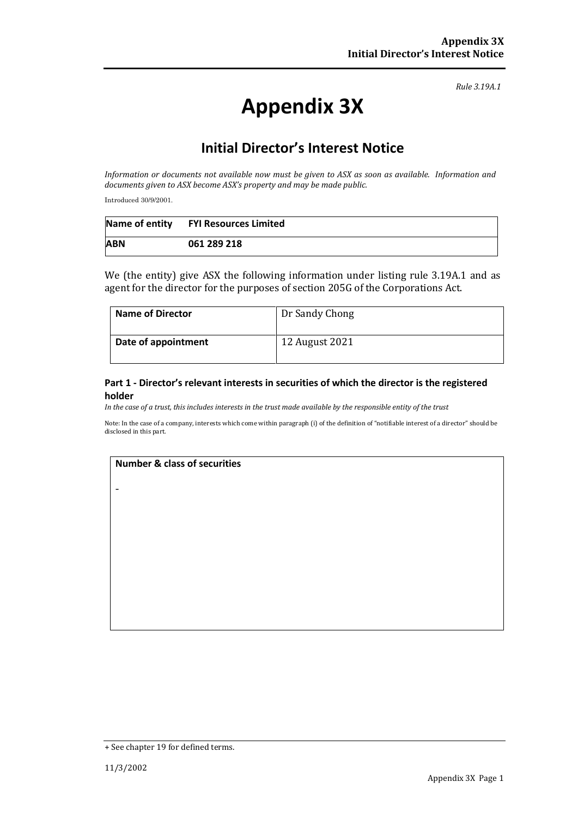*Rule 3.19A.1*

# **Appendix 3X**

## **Initial Director's Interest Notice**

*Information or documents not available now must be given to ASX as soon as available. Information and documents given to ASX become ASX's property and may be made public.*

Introduced 30/9/2001.

|            | Name of entity FYI Resources Limited |
|------------|--------------------------------------|
| <b>ABN</b> | 061 289 218                          |

We (the entity) give ASX the following information under listing rule 3.19A.1 and as agent for the director for the purposes of section 205G of the Corporations Act.

| Name of Director    | Dr Sandy Chong |
|---------------------|----------------|
| Date of appointment | 12 August 2021 |

#### **Part 1 - Director's relevant interests in securities of which the director is the registered holder**

*In the case of a trust, this includes interests in the trust made available by the responsible entity of the trust*

Note: In the case of a company, interests which come within paragraph (i) of the definition of "notifiable interest of a director" should be disclosed in this part.

#### **Number & class of securities**

-

<sup>+</sup> See chapter 19 for defined terms.